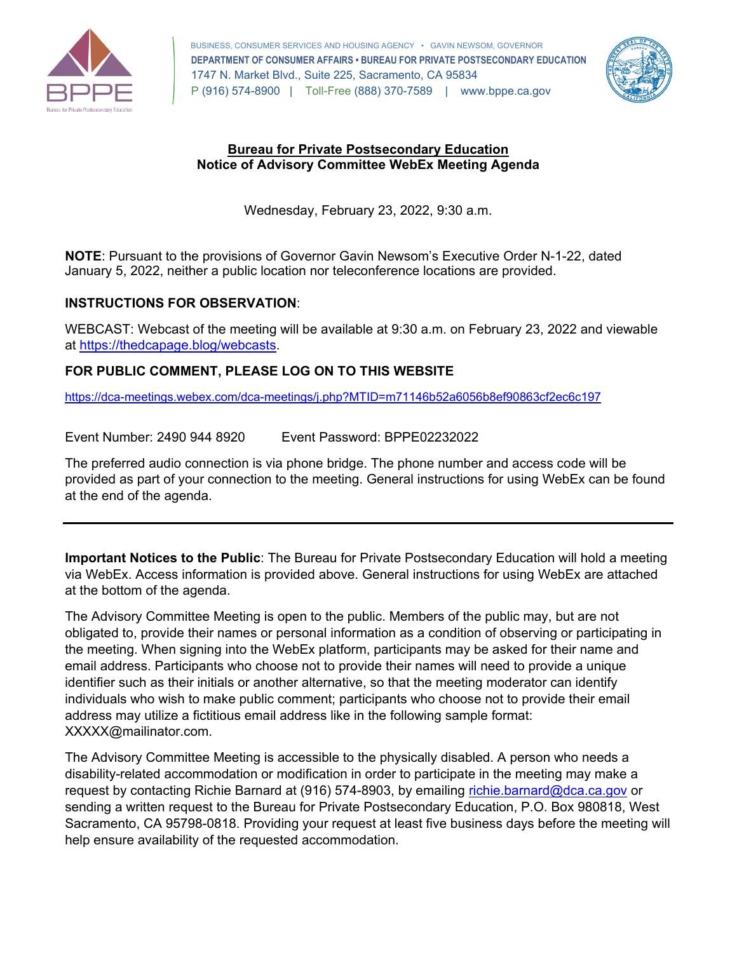

 1747 N. Market Blvd., Suite 225, Sacramento, CA 95834 P (916) 574-8900 | Toll-Free (888) 370-7589 | <www.bppe.ca.gov> BUSINESS, CONSUMER SERVICES AND HOUSING AGENCY • GAVIN NEWSOM, GOVERNOR **DEPARTMENT OF CONSUMER AFFAIRS • BUREAU FOR PRIVATE POSTSECONDARY EDUCATION** 



## **Notice of Advisory Committee WebEx Meeting Agenda Bureau for Private Postsecondary Education**

Wednesday, February 23, 2022, 9:30 a.m.

**NOTE**: Pursuant to the provisions of Governor Gavin Newsom's Executive Order N-1-22, dated January 5, 2022, neither a public location nor teleconference locations are provided.

## **INSTRUCTIONS FOR OBSERVATION**:

 WEBCAST: Webcast of the meeting will be available at 9:30 a.m. on February 23, 2022 and viewable at [https://thedcapage.blog/webcasts.](https://thedcapage.blog/webcasts)

## **FOR PUBLIC COMMENT, PLEASE LOG ON TO THIS WEBSITE**

<https://dca-meetings.webex.com/dca-meetings/j.php?MTID=m71146b52a6056b8ef90863cf2ec6c197>

Event Number: 2490 944 8920 Event Password: BPPE02232022

The preferred audio connection is via phone bridge. The phone number and access code will be provided as part of your connection to the meeting. General instructions for using WebEx can be found at the end of the agenda.

**Important Notices to the Public**: The Bureau for Private Postsecondary Education will hold a meeting via WebEx. Access information is provided above. General instructions for using WebEx are attached at the bottom of the agenda.

The Advisory Committee Meeting is open to the public. Members of the public may, but are not obligated to, provide their names or personal information as a condition of observing or participating in the meeting. When signing into the WebEx platform, participants may be asked for their name and email address. Participants who choose not to provide their names will need to provide a unique identifier such as their initials or another alternative, so that the meeting moderator can identify individuals who wish to make public comment; participants who choose not to provide their email address may utilize a fictitious email address like in the following sample format: [XXXXX@mailinator.com](mailto:XXXXX@mailinator.com).

The Advisory Committee Meeting is accessible to the physically disabled. A person who needs a disability-related accommodation or modification in order to participate in the meeting may make a request by contacting Richie Barnard at (916) 574-8903, by emailing [richie.barnard@dca.ca.gov](mailto:richie.barnard@dca.ca.gov) or sending a written request to the Bureau for Private Postsecondary Education, P.O. Box 980818, West Sacramento, CA 95798-0818. Providing your request at least five business days before the meeting will help ensure availability of the requested accommodation.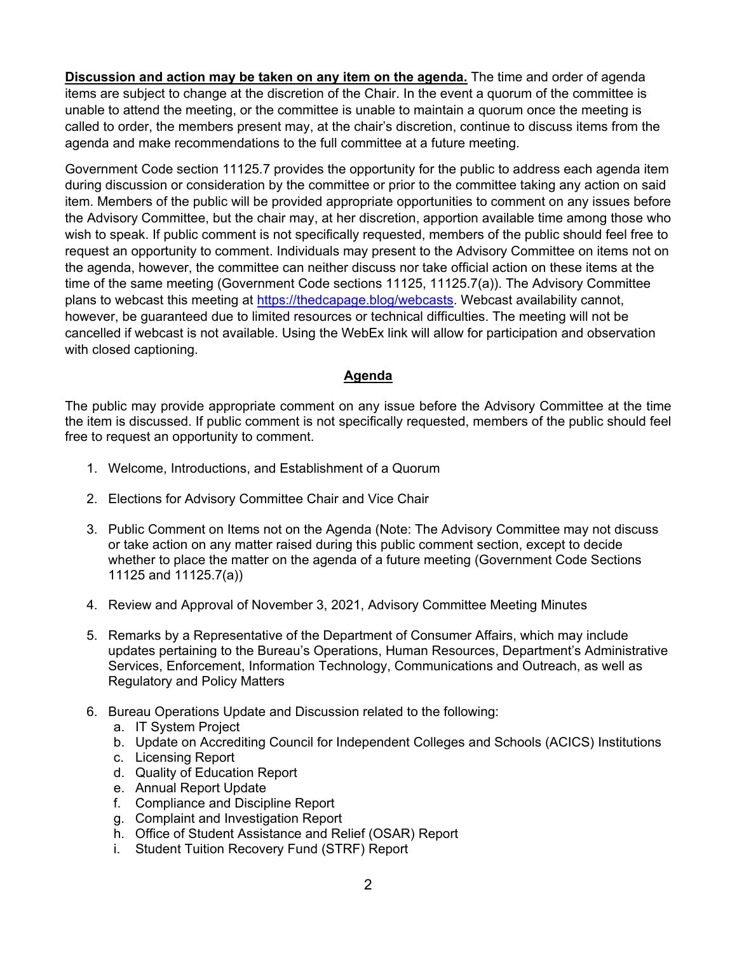**Discussion and action may be taken on any item on the agenda.** The time and order of agenda items are subject to change at the discretion of the Chair. In the event a quorum of the committee is unable to attend the meeting, or the committee is unable to maintain a quorum once the meeting is called to order, the members present may, at the chair's discretion, continue to discuss items from the agenda and make recommendations to the full committee at a future meeting.

Government Code section 11125.7 provides the opportunity for the public to address each agenda item during discussion or consideration by the committee or prior to the committee taking any action on said item. Members of the public will be provided appropriate opportunities to comment on any issues before the Advisory Committee, but the chair may, at her discretion, apportion available time among those who wish to speak. If public comment is not specifically requested, members of the public should feel free to request an opportunity to comment. Individuals may present to the Advisory Committee on items not on the agenda, however, the committee can neither discuss nor take official action on these items at the time of the same meeting (Government Code sections 11125, 11125.7(a)). The Advisory Committee plans to webcast this meeting at [https://thedcapage.blog/webcasts.](https://thedcapage.blog/webcasts) Webcast availability cannot, however, be guaranteed due to limited resources or technical difficulties. The meeting will not be cancelled if webcast is not available. Using the WebEx link will allow for participation and observation with closed captioning.

## **Agenda**

The public may provide appropriate comment on any issue before the Advisory Committee at the time the item is discussed. If public comment is not specifically requested, members of the public should feel free to request an opportunity to comment.

- 1. Welcome, Introductions, and Establishment of a Quorum
- 2. Elections for Advisory Committee Chair and Vice Chair
- 3. Public Comment on Items not on the Agenda (Note: The Advisory Committee may not discuss or take action on any matter raised during this public comment section, except to decide whether to place the matter on the agenda of a future meeting (Government Code Sections 11125 and 11125.7(a))
- 4. Review and Approval of November 3, 2021, Advisory Committee Meeting Minutes
- 5. Remarks by a Representative of the Department of Consumer Affairs, which may include updates pertaining to the Bureau's Operations, Human Resources, Department's Administrative Services, Enforcement, Information Technology, Communications and Outreach, as well as Regulatory and Policy Matters
- 6. Bureau Operations Update and Discussion related to the following:
	- a. IT System Project
	- b. Update on Accrediting Council for Independent Colleges and Schools (ACICS) Institutions
	- c. Licensing Report
	- d. Quality of Education Report
	- e. Annual Report Update
	- f. Compliance and Discipline Report
	- g. Complaint and Investigation Report
	- h. Office of Student Assistance and Relief (OSAR) Report
	- i. Student Tuition Recovery Fund (STRF) Report